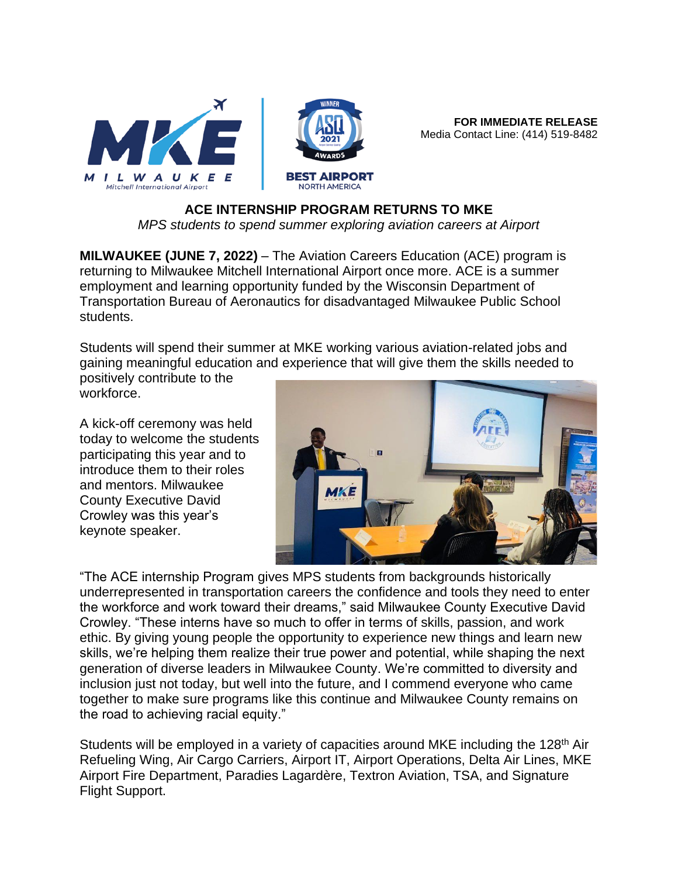

**FOR IMMEDIATE RELEASE** Media Contact Line: (414) 519-8482

## **ACE INTERNSHIP PROGRAM RETURNS TO MKE**

*MPS students to spend summer exploring aviation careers at Airport*

**MILWAUKEE (JUNE 7, 2022)** – The Aviation Careers Education (ACE) program is returning to Milwaukee Mitchell International Airport once more. ACE is a summer employment and learning opportunity funded by the Wisconsin Department of Transportation Bureau of Aeronautics for disadvantaged Milwaukee Public School students.

Students will spend their summer at MKE working various aviation-related jobs and gaining meaningful education and experience that will give them the skills needed to positively contribute to the

workforce.

A kick-off ceremony was held today to welcome the students participating this year and to introduce them to their roles and mentors. Milwaukee County Executive David Crowley was this year's keynote speaker.



"The ACE internship Program gives MPS students from backgrounds historically underrepresented in transportation careers the confidence and tools they need to enter the workforce and work toward their dreams," said Milwaukee County Executive David Crowley. "These interns have so much to offer in terms of skills, passion, and work ethic. By giving young people the opportunity to experience new things and learn new skills, we're helping them realize their true power and potential, while shaping the next generation of diverse leaders in Milwaukee County. We're committed to diversity and inclusion just not today, but well into the future, and I commend everyone who came together to make sure programs like this continue and Milwaukee County remains on the road to achieving racial equity."

Students will be employed in a variety of capacities around MKE including the 128<sup>th</sup> Air Refueling Wing, Air Cargo Carriers, Airport IT, Airport Operations, Delta Air Lines, MKE Airport Fire Department, Paradies Lagardère, Textron Aviation, TSA, and Signature Flight Support.